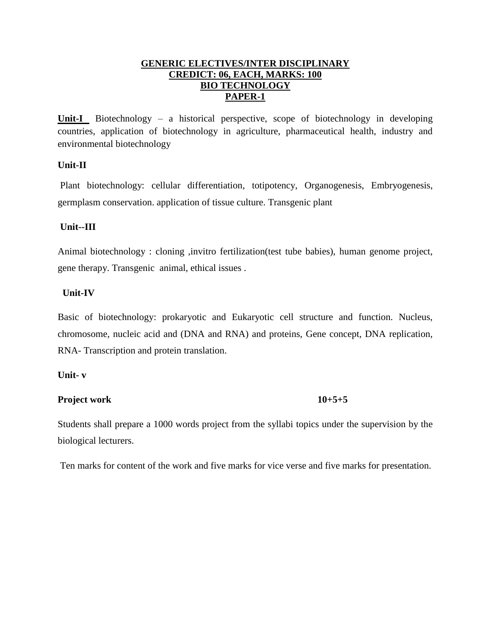#### **GENERIC ELECTIVES/INTER DISCIPLINARY CREDICT: 06, EACH, MARKS: 100 BIO TECHNOLOGY PAPER-1**

**Unit-I** Biotechnology – a historical perspective, scope of biotechnology in developing countries, application of biotechnology in agriculture, pharmaceutical health, industry and environmental biotechnology

#### **Unit-II**

Plant biotechnology: cellular differentiation, totipotency, Organogenesis, Embryogenesis, germplasm conservation. application of tissue culture. Transgenic plant

#### **Unit--III**

Animal biotechnology : cloning ,invitro fertilization(test tube babies), human genome project, gene therapy. Transgenic animal, ethical issues .

## **Unit-IV**

Basic of biotechnology: prokaryotic and Eukaryotic cell structure and function. Nucleus, chromosome, nucleic acid and (DNA and RNA) and proteins, Gene concept, DNA replication, RNA- Transcription and protein translation.

#### **Unit- v**

## **Project work 10+5+5**

Students shall prepare a 1000 words project from the syllabi topics under the supervision by the biological lecturers.

Ten marks for content of the work and five marks for vice verse and five marks for presentation.